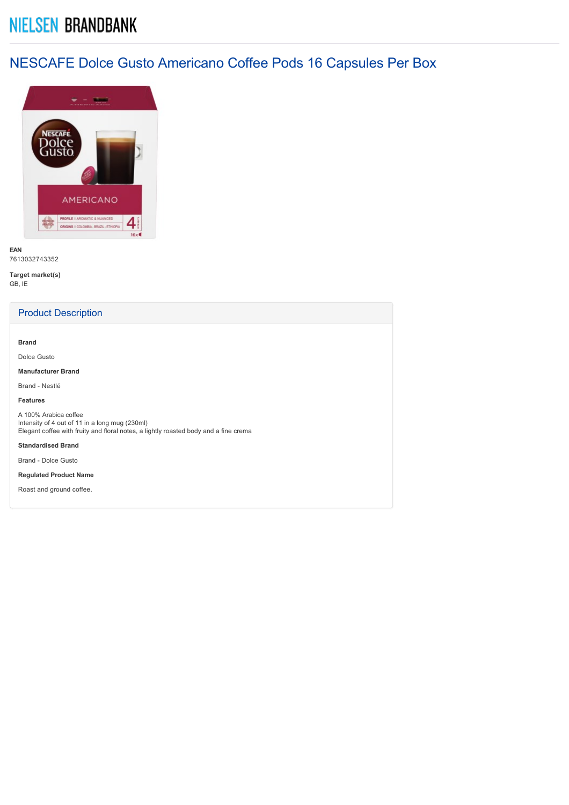# **NIELSEN BRANDBANK**

## NESCAFE Dolce Gusto Americano Coffee Pods 16 Capsules Per Box



**EAN** 7613032743352

**Target market(s)** GB, IE

## Product Description

**Brand**

Dolce Gusto

**Manufacturer Brand**

Brand - Nestlé

#### **Features**

A 100% Arabica coffee Intensity of 4 out of 11 in a long mug (230ml) Elegant coffee with fruity and floral notes, a lightly roasted body and a fine crema

**Standardised Brand**

Brand - Dolce Gusto

**Regulated Product Name**

Roast and ground coffee.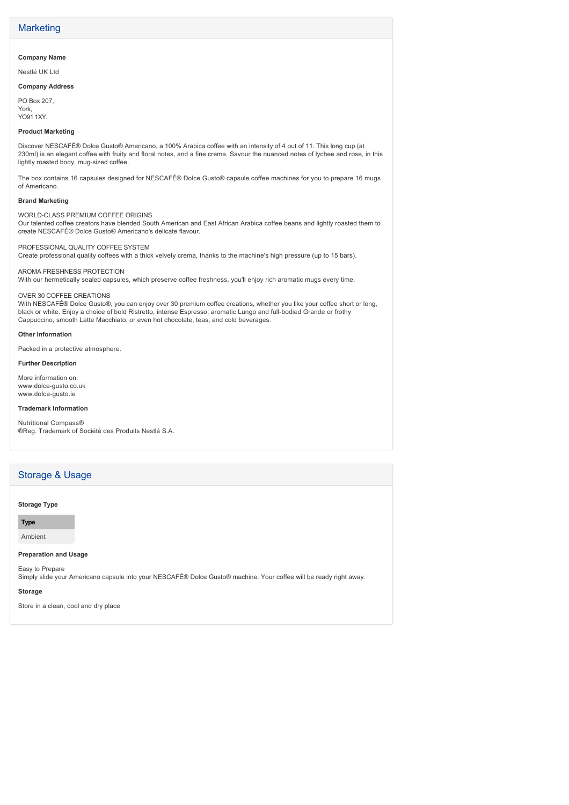## **Marketing**

#### **Company Name**

Nestlé UK Ltd

#### **Company Address**

PO Box 207, York, YO91 1XY.

#### **Product Marketing**

Discover NESCAFÉ® Dolce Gusto® Americano, a 100% Arabica coffee with an intensity of 4 out of 11. This long cup (at 230ml) is an elegant coffee with fruity and floral notes, and a fine crema. Savour the nuanced notes of lychee and rose, in this lightly roasted body, mug-sized coffee.

The box contains 16 capsules designed for NESCAFÉ® Dolce Gusto® capsule coffee machines for you to prepare 16 mugs of Americano.

#### **Brand Marketing**

WORLD-CLASS PREMIUM COFFEE ORIGINS

Our talented coffee creators have blended South American and East African Arabica coffee beans and lightly roasted them to create NESCAFÉ® Dolce Gusto® Americano's delicate flavour.

#### PROFESSIONAL QUALITY COFFEE SYSTEM

Create professional quality coffees with a thick velvety crema, thanks to the machine's high pressure (up to 15 bars).

#### AROMA FRESHNESS PROTECTION

With our hermetically sealed capsules, which preserve coffee freshness, you'll enjoy rich aromatic mugs every time.

#### OVER 30 COFFEE CREATIONS

With NESCAFÉ® Dolce Gusto®, you can enjoy over 30 premium coffee creations, whether you like your coffee short or long, black or white. Enjoy a choice of bold Ristretto, intense Espresso, aromatic Lungo and full-bodied Grande or frothy Cappuccino, smooth Latte Macchiato, or even hot chocolate, teas, and cold beverages.

#### **Other Information**

Packed in a protective atmosphere.

#### **Further Description**

More information on: www.dolce-gusto.co.uk www.dolce-gusto.ie

#### **Trademark Information**

Nutritional Compass® ®Reg. Trademark of Société des Produits Nestlé S.A.

## Storage & Usage

#### **Storage Type**

**Type**

#### Ambient

#### **Preparation and Usage**

Easy to Prepare

Simply slide your Americano capsule into your NESCAFÉ® Dolce Gusto® machine. Your coffee will be ready right away.

#### **Storage**

Store in a clean, cool and dry place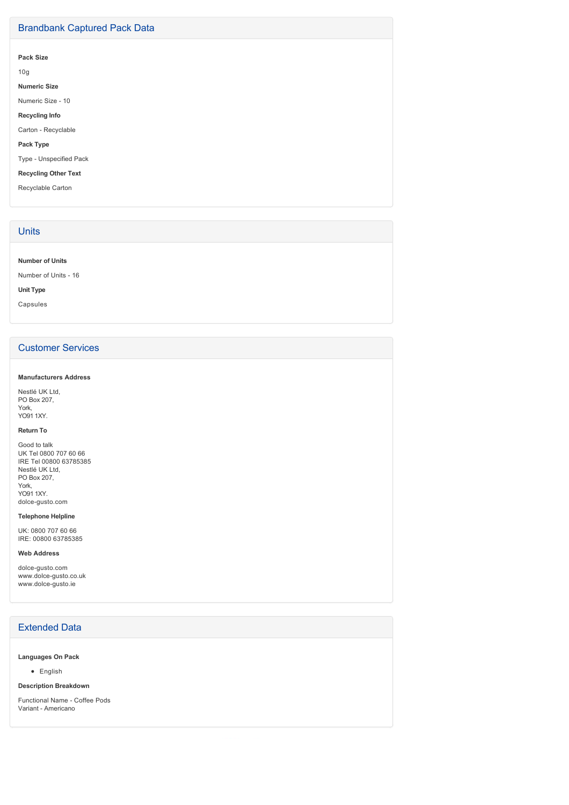## Brandbank Captured Pack Data

**Pack Size**

10g

**Numeric Size**

Numeric Size - 10

**Recycling Info**

Carton - Recyclable

**Pack Type**

Type - Unspecified Pack

**Recycling Other Text**

Recyclable Carton

## **Units**

**Number of Units**

Number of Units - 16

**Unit Type**

Capsules

## Customer Services

#### **Manufacturers Address**

Nestlé UK Ltd, PO Box 207, York, YO91 1XY.

#### **Return To**

Good to talk UK Tel 0800 707 60 66 IRE Tel 00800 63785385 Nestlé UK Ltd, PO Box 207, York, YO91 1XY.

## dolce-gusto.com

**Telephone Helpline**

UK: 0800 707 60 66 IRE: 00800 63785385

#### **Web Address**

dolce-gusto.com www.dolce-gusto.co.uk www.dolce-gusto.ie

## Extended Data

#### **Languages On Pack**

• English

#### **Description Breakdown**

Functional Name - Coffee Pods Variant - Americano